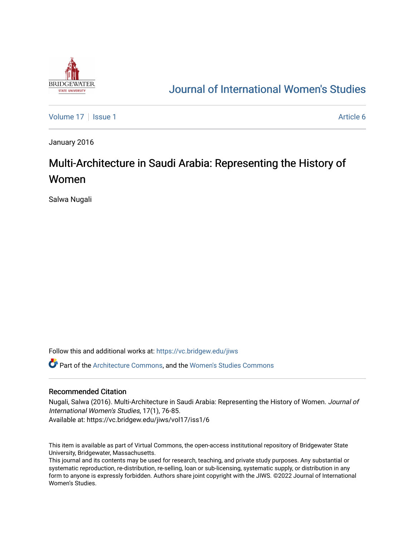

# [Journal of International Women's Studies](https://vc.bridgew.edu/jiws)

[Volume 17](https://vc.bridgew.edu/jiws/vol17) | [Issue 1](https://vc.bridgew.edu/jiws/vol17/iss1) Article 6

January 2016

# Multi-Architecture in Saudi Arabia: Representing the History of Women

Salwa Nugali

Follow this and additional works at: [https://vc.bridgew.edu/jiws](https://vc.bridgew.edu/jiws?utm_source=vc.bridgew.edu%2Fjiws%2Fvol17%2Fiss1%2F6&utm_medium=PDF&utm_campaign=PDFCoverPages)

Part of the [Architecture Commons,](http://network.bepress.com/hgg/discipline/773?utm_source=vc.bridgew.edu%2Fjiws%2Fvol17%2Fiss1%2F6&utm_medium=PDF&utm_campaign=PDFCoverPages) and the [Women's Studies Commons](http://network.bepress.com/hgg/discipline/561?utm_source=vc.bridgew.edu%2Fjiws%2Fvol17%2Fiss1%2F6&utm_medium=PDF&utm_campaign=PDFCoverPages)

#### Recommended Citation

Nugali, Salwa (2016). Multi-Architecture in Saudi Arabia: Representing the History of Women. Journal of International Women's Studies, 17(1), 76-85. Available at: https://vc.bridgew.edu/jiws/vol17/iss1/6

This item is available as part of Virtual Commons, the open-access institutional repository of Bridgewater State University, Bridgewater, Massachusetts.

This journal and its contents may be used for research, teaching, and private study purposes. Any substantial or systematic reproduction, re-distribution, re-selling, loan or sub-licensing, systematic supply, or distribution in any form to anyone is expressly forbidden. Authors share joint copyright with the JIWS. ©2022 Journal of International Women's Studies.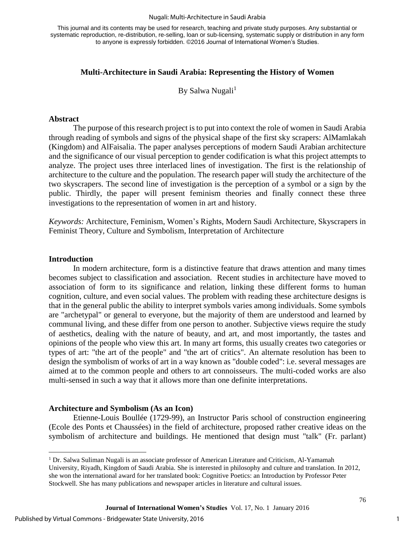#### Nugali: Multi-Architecture in Saudi Arabia

This journal and its contents may be used for research, teaching and private study purposes. Any substantial or systematic reproduction, re-distribution, re-selling, loan or sub-licensing, systematic supply or distribution in any form to anyone is expressly forbidden. ©2016 Journal of International Women's Studies.

## **Multi-Architecture in Saudi Arabia: Representing the History of Women**

By Salwa Nugali<sup>1</sup>

## **Abstract**

The purpose of this research project is to put into context the role of women in Saudi Arabia through reading of symbols and signs of the physical shape of the first sky scrapers: AlMamlakah (Kingdom) and AlFaisalia. The paper analyses perceptions of modern Saudi Arabian architecture and the significance of our visual perception to gender codification is what this project attempts to analyze. The project uses three interlaced lines of investigation. The first is the relationship of architecture to the culture and the population. The research paper will study the architecture of the two skyscrapers. The second line of investigation is the perception of a symbol or a sign by the public. Thirdly, the paper will present feminism theories and finally connect these three investigations to the representation of women in art and history.

*Keywords:* Architecture, Feminism, Women's Rights, Modern Saudi Architecture, Skyscrapers in Feminist Theory, Culture and Symbolism, Interpretation of Architecture

#### **Introduction**

 $\overline{a}$ 

 In modern architecture, form is a distinctive feature that draws attention and many times becomes subject to classification and association. Recent studies in architecture have moved to association of form to its significance and relation, linking these different forms to human cognition, culture, and even social values. The problem with reading these architecture designs is that in the general public the ability to interpret symbols varies among individuals. Some symbols are "archetypal" or general to everyone, but the majority of them are understood and learned by communal living, and these differ from one person to another. Subjective views require the study of aesthetics, dealing with the nature of beauty, and art, and most importantly, the tastes and opinions of the people who view this art. In many art forms, this usually creates two categories or types of art: "the art of the people" and "the art of critics". An alternate resolution has been to design the symbolism of works of art in a way known as "double coded": i.e. several messages are aimed at to the common people and others to art connoisseurs. The multi-coded works are also multi-sensed in such a way that it allows more than one definite interpretations.

#### **Architecture and Symbolism (As an Icon)**

 Etienne-Louis Boullée (1729-99), an Instructor Paris school of construction engineering (Ecole des Ponts et Chaussées) in the field of architecture, proposed rather creative ideas on the symbolism of architecture and buildings. He mentioned that design must "talk" (Fr. parlant)

1

<sup>&</sup>lt;sup>1</sup> Dr. Salwa Suliman Nugali is an associate professor of American Literature and Criticism, Al-Yamamah University, Riyadh, Kingdom of Saudi Arabia. She is interested in philosophy and culture and translation. In 2012, she won the international award for her translated book: Cognitive Poetics: an Introduction by Professor Peter Stockwell. She has many publications and newspaper articles in literature and cultural issues.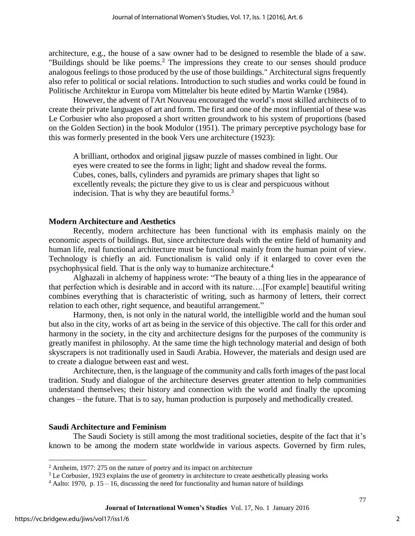architecture, e.g., the house of a saw owner had to be designed to resemble the blade of a saw. "Buildings should be like poems.<sup>2</sup> The impressions they create to our senses should produce analogous feelings to those produced by the use of those buildings." Architectural signs frequently also refer to political or social relations. Introduction to such studies and works could be found in Politische Architektur in Europa vom Mittelalter bis heute edited by Martin [Warnke](http://www.uiah.fi/projects/metodi/x50.htm#w) (1984).

 However, the advent of l'Art Nouveau encouraged the world's most skilled architects of to create their private languages of art and form. The first and one of the most influential of these was Le Corbusier who also proposed a short written groundwork to his system of proportions (based on the Golden Section) in the book Modulor (1951). The primary perceptive psychology base for this was formerly presented in the book Vers une architecture (1923):

A brilliant, orthodox and original jigsaw puzzle of masses combined in light. Our eyes were created to see the forms in light; light and shadow reveal the forms. Cubes, cones, balls, cylinders and pyramids are primary shapes that light so excellently reveals; the picture they give to us is clear and perspicuous without indecision. That is why they are beautiful forms. $3$ 

## **Modern Architecture and Aesthetics**

 Recently, modern architecture has been functional with its emphasis mainly on the economic aspects of buildings. But, since architecture deals with the entire field of humanity and human life, real functional architecture must be functional mainly from the human point of view. Technology is chiefly an aid. Functionalism is valid only if it enlarged to cover even the psychophysical field. That is the only way to humanize architecture.<sup>4</sup>

 Alghazali in alchemy of happiness wrote: "The beauty of a thing lies in the appearance of that perfection which is desirable and in accord with its nature….[For example] beautiful writing combines everything that is characteristic of writing, such as harmony of letters, their correct relation to each other, right sequence, and beautiful arrangement."

 Harmony, then, is not only in the natural world, the intelligible world and the human soul but also in the city, works of art as being in the service of this objective. The call for this order and harmony in the society, in the city and architecture designs for the purposes of the community is greatly manifest in philosophy. At the same time the high technology material and design of both skyscrapers is not traditionally used in Saudi Arabia. However, the materials and design used are to create a dialogue between east and west.

 Architecture, then, is the language of the community and calls forth images of the past local tradition. Study and dialogue of the architecture deserves greater attention to help communities understand themselves; their history and connection with the world and finally the upcoming changes – the future. That is to say, human production is purposely and methodically created.

#### **Saudi Architecture and Feminism**

 The Saudi Society is still among the most traditional societies, despite of the fact that it's known to be among the modern state worldwide in various aspects. Governed by firm rules,

 $\overline{a}$ 

<sup>&</sup>lt;sup>2</sup> Arnheim, 1977: 275 on the nature of poetry and its impact on architecture

 $3$  Le Corbusier, 1923 explains the use of geometry in architecture to create aesthetically pleasing works

 $4$  Aalto: 1970, p. 15 – 16, discussing the need for functionality and human nature of buildings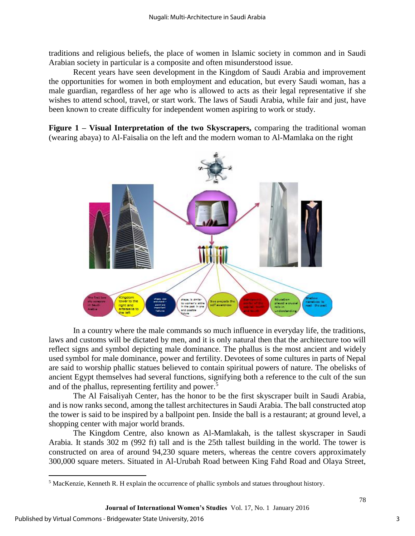traditions and religious beliefs, the place of women in Islamic society in common and in Saudi Arabian society in particular is a composite and often misunderstood issue.

 Recent years have seen development in the Kingdom of Saudi Arabia and improvement the opportunities for women in both employment and education, but every Saudi woman, has a male guardian, regardless of her age who is allowed to acts as their legal representative if she wishes to attend school, travel, or start work. The laws of Saudi Arabia, while fair and just, have been known to create difficulty for independent women aspiring to work or study.

**Figure 1 – Visual Interpretation of the two Skyscrapers,** comparing the traditional woman (wearing abaya) to Al-Faisalia on the left and the modern woman to Al-Mamlaka on the right



 In a country where the male commands so much influence in everyday life, the traditions, laws and customs will be dictated by men, and it is only natural then that the architecture too will reflect signs and symbol depicting male dominance. The phallus is the most ancient and widely used symbol for male dominance, power and fertility. Devotees of some cultures in parts of Nepal are said to worship phallic statues believed to contain spiritual powers of nature. The obelisks of ancient Egypt themselves had several functions, signifying both a reference to the cult of the sun and of the phallus, representing fertility and power.<sup>5</sup>

 The Al Faisaliyah Center, has the honor to be the first [skyscraper](http://en.wikipedia.org/wiki/Skyscraper) built in [Saudi Arabia,](http://en.wikipedia.org/wiki/Saudi_Arabia) and is now ranks second, among the tallest architectures in Saudi Arabia. The ball constructed atop the tower is said to be inspired by a [ballpoint pen.](http://en.wikipedia.org/wiki/Ballpoint_pen) Inside the ball is a restaurant; at ground level, a shopping center with major world brands.

 The Kingdom Centre, also known as Al-Mamlakah, is the tallest skyscraper in Saudi Arabia. It stands 302 m (992 ft) tall and is the 25th tallest building in the world. The tower is constructed on area of around 94,230 square meters, whereas the centre covers approximately 300,000 square meters. Situated in Al-Urubah Road between King Fahd Road and Olaya Street,

 $\overline{a}$ 

 $<sup>5</sup>$  MacKenzie, Kenneth R. H explain the occurrence of phallic symbols and statues throughout history.</sup>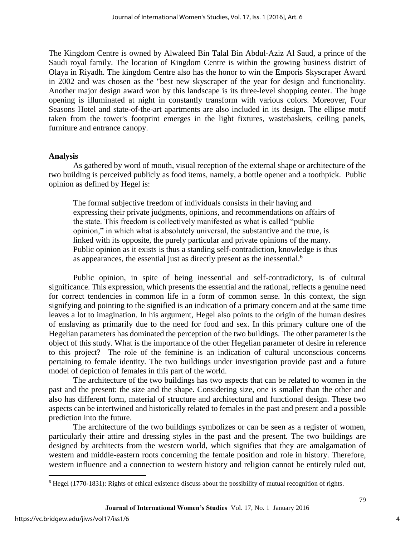The Kingdom Centre is owned by [Alwaleed Bin Talal Bin Abdul-Aziz Al Saud,](http://en.wikipedia.org/wiki/Alwaleed_bin_Talal) a prince of the [Saudi royal family.](http://en.wikipedia.org/wiki/Saudi_royal_family) The location of Kingdom Centre is within the growing business district of Olaya in [Riyadh.](http://en.wikipedia.org/wiki/Riyadh) The kingdom Centre also has the honor to win the [Emporis Skyscraper Award](http://en.wikipedia.org/wiki/Emporis_Skyscraper_Award) in 2002 and was chosen as the "best new skyscraper of the year for design and functionality. Another major design award won by this landscape is its three-level shopping center. The huge opening is illuminated at night in constantly transform with various colors. Moreover, [Four](http://en.wikipedia.org/wiki/Four_Seasons_Hotel)  [Seasons Hotel](http://en.wikipedia.org/wiki/Four_Seasons_Hotel) and state-of-the-art apartments are also included in its design. The ellipse motif taken from the tower's footprint emerges in the light fixtures, wastebaskets, ceiling panels, furniture and entrance canopy.

# **Analysis**

 As gathered by word of mouth, visual reception of the external shape or architecture of the two building is perceived publicly as food items, namely, a bottle opener and a toothpick. Public opinion as defined by Hegel is:

The formal subjective freedom of individuals consists in their having and expressing their private judgments, opinions, and recommendations on affairs of the state. This freedom is collectively manifested as what is called "public opinion," in which what is absolutely universal, the substantive and the true, is linked with its opposite, the purely particular and private opinions of the many. Public opinion as it exists is thus a standing self-contradiction, knowledge is thus as appearances, the essential just as directly present as the inessential.<sup>6</sup>

 Public opinion, in spite of being inessential and self-contradictory, is of cultural significance. This expression, which presents the essential and the rational, reflects a genuine need for correct tendencies in common life in a form of common sense. In this context, the sign signifying and pointing to the signified is an indication of a primary concern and at the same time leaves a lot to imagination. In his argument, Hegel also points to the origin of the human desires of enslaving as primarily due to the need for food and sex. In this primary culture one of the Hegelian parameters has dominated the perception of the two buildings. The other parameter is the object of this study. What is the importance of the other Hegelian parameter of desire in reference to this project? The role of the feminine is an indication of cultural unconscious concerns pertaining to female identity. The two buildings under investigation provide past and a future model of depiction of females in this part of the world.

 The architecture of the two buildings has two aspects that can be related to women in the past and the present: the size and the shape. Considering size, one is smaller than the other and also has different form, material of structure and architectural and functional design. These two aspects can be intertwined and historically related to females in the past and present and a possible prediction into the future.

 The architecture of the two buildings symbolizes or can be seen as a register of women, particularly their attire and dressing styles in the past and the present. The two buildings are designed by architects from the western world, which signifies that they are amalgamation of western and middle-eastern roots concerning the female position and role in history. Therefore, western influence and a connection to western history and religion cannot be entirely ruled out,

 $\overline{a}$ 

4

<sup>&</sup>lt;sup>6</sup> Hegel (1770-1831): Rights of ethical existence discuss about the possibility of mutual recognition of rights.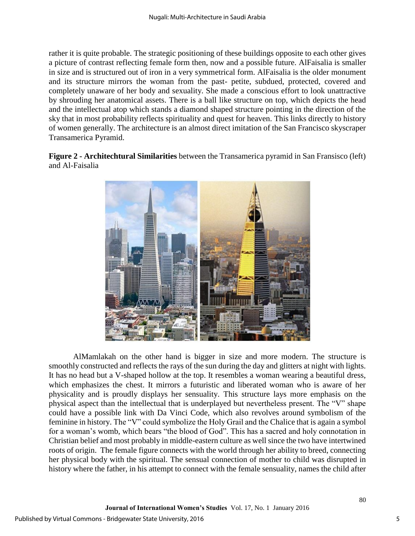rather it is quite probable. The strategic positioning of these buildings opposite to each other gives a picture of contrast reflecting female form then, now and a possible future. AlFaisalia is smaller in size and is structured out of iron in a very symmetrical form. AlFaisalia is the older monument and its structure mirrors the woman from the past- petite, subdued, protected, covered and completely unaware of her body and sexuality. She made a conscious effort to look unattractive by shrouding her anatomical assets. There is a ball like structure on top, which depicts the head and the intellectual atop which stands a diamond shaped structure pointing in the direction of the sky that in most probability reflects spirituality and quest for heaven. This links directly to history of women generally. The architecture is an almost direct imitation of the San Francisco skyscraper Transamerica Pyramid.

**Figure 2 - Architechtural Similarities** between the Transamerica pyramid in San Fransisco (left) and Al-Faisalia



AlMamlakah on the other hand is bigger in size and more modern. The structure is smoothly constructed and reflects the rays of the sun during the day and glitters at night with lights. It has no head but a V-shaped hollow at the top. It resembles a woman wearing a beautiful dress, which emphasizes the chest. It mirrors a futuristic and liberated woman who is aware of her physicality and is proudly displays her sensuality. This structure lays more emphasis on the physical aspect than the intellectual that is underplayed but nevertheless present. The "V" shape could have a possible link with Da Vinci Code, which also revolves around symbolism of the feminine in history. The "V" could symbolize the Holy Grail and the Chalice that is again a symbol for a woman's womb, which bears "the blood of God". This has a sacred and holy connotation in Christian belief and most probably in middle-eastern culture as well since the two have intertwined roots of origin. The female figure connects with the world through her ability to breed, connecting her physical body with the spiritual. The sensual connection of mother to child was disrupted in history where the father, in his attempt to connect with the female sensuality, names the child after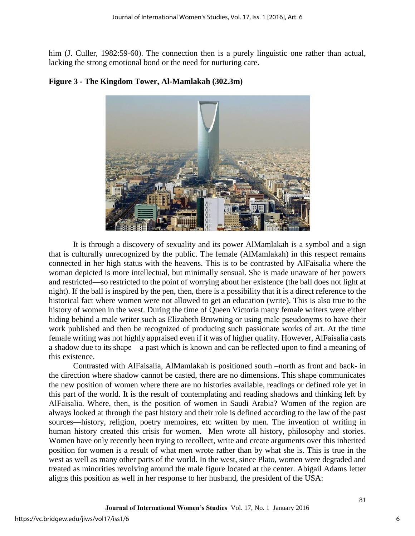him (J. Culler, 1982:59-60). The connection then is a purely linguistic one rather than actual, lacking the strong emotional bond or the need for nurturing care.



# **Figure 3 - The Kingdom Tower, Al-Mamlakah (302.3m)**

 It is through a discovery of sexuality and its power AlMamlakah is a symbol and a sign that is culturally unrecognized by the public. The female (AlMamlakah) in this respect remains connected in her high status with the heavens. This is to be contrasted by AlFaisalia where the woman depicted is more intellectual, but minimally sensual. She is made unaware of her powers and restricted—so restricted to the point of worrying about her existence (the ball does not light at night). If the ball is inspired by the pen, then, there is a possibility that it is a direct reference to the historical fact where women were not allowed to get an education (write). This is also true to the history of women in the west. During the time of Queen Victoria many female writers were either hiding behind a male writer such as Elizabeth Browning or using male pseudonyms to have their work published and then be recognized of producing such passionate works of art. At the time female writing was not highly appraised even if it was of higher quality. However, AlFaisalia casts a shadow due to its shape—a past which is known and can be reflected upon to find a meaning of this existence.

 Contrasted with AlFaisalia, AlMamlakah is positioned south –north as front and back- in the direction where shadow cannot be casted, there are no dimensions. This shape communicates the new position of women where there are no histories available, readings or defined role yet in this part of the world. It is the result of contemplating and reading shadows and thinking left by AlFaisalia. Where, then, is the position of women in Saudi Arabia? Women of the region are always looked at through the past history and their role is defined according to the law of the past sources—history, religion, poetry memoires, etc written by men. The invention of writing in human history created this crisis for women. Men wrote all history, philosophy and stories. Women have only recently been trying to recollect, write and create arguments over this inherited position for women is a result of what men wrote rather than by what she is. This is true in the west as well as many other parts of the world. In the west, since Plato, women were degraded and treated as minorities revolving around the male figure located at the center. Abigail Adams letter aligns this position as well in her response to her husband, the president of the USA: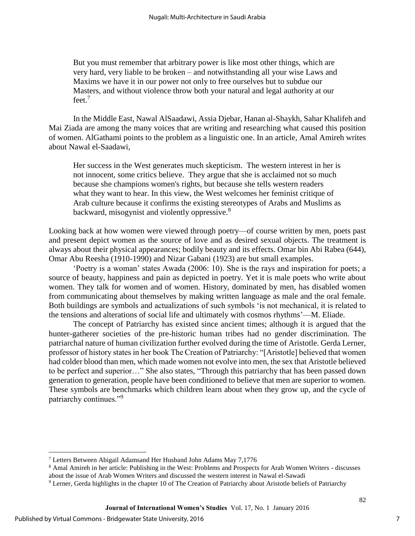But you must remember that arbitrary power is like most other things, which are very hard, very liable to be broken – and notwithstanding all your wise Laws and Maxims we have it in our power not only to free ourselves but to subdue our Masters, and without violence throw both your natural and legal authority at our feet.<sup>7</sup>

 In the Middle East, Nawal AlSaadawi, Assia Djebar, Hanan al-Shaykh, Sahar Khalifeh and Mai Ziada are among the many voices that are writing and researching what caused this position of women. AlGathami points to the problem as a linguistic one. In an article, Amal Amireh writes about Nawal el-Saadawi,

Her success in the West generates much skepticism. The western interest in her is not innocent, some critics believe. They argue that she is acclaimed not so much because she champions women's rights, but because she tells western readers what they want to hear. In this view, the West welcomes her feminist critique of Arab culture because it confirms the existing stereotypes of Arabs and Muslims as backward, misogynist and violently oppressive.<sup>8</sup>

Looking back at how women were viewed through poetry—of course written by men, poets past and present depict women as the source of love and as desired sexual objects. The treatment is always about their physical appearances; bodily beauty and its effects. Omar bin Abi Rabea (644), Omar Abu Reesha (1910-1990) and Nizar Gabani (1923) are but small examples.

'Poetry is a woman' states Awada (2006: 10). She is the rays and inspiration for poets; a source of beauty, happiness and pain as depicted in poetry. Yet it is male poets who write about women. They talk for women and of women. History, dominated by men, has disabled women from communicating about themselves by making written language as male and the oral female. Both buildings are symbols and actualizations of such symbols 'is not mechanical, it is related to the tensions and alterations of social life and ultimately with cosmos rhythms'—M. Eliade.

 The concept of Patriarchy has existed since ancient times; although it is argued that the hunter-gatherer societies of the pre-historic human tribes had no gender discrimination. The patriarchal nature of human civilization further evolved during the time of Aristotle. Gerda Lerner, professor of history states in her book The Creation of Patriarchy: "[Aristotle] believed that women had colder blood than men, which made women not evolve into men, the sex that Aristotle believed to be perfect and superior…" She also states, "Through this patriarchy that has been passed down generation to generation, people have been conditioned to believe that men are superior to women. These symbols are benchmarks which children learn about when they grow up, and the cycle of patriarchy continues."<sup>9</sup>

 $\overline{a}$ 

7

<sup>&</sup>lt;sup>7</sup> Letters Between Abigail Adamsand Her Husband John Adams May 7,1776

<sup>&</sup>lt;sup>8</sup> Amal Amireh in her article: Publishing in the West: Problems and Prospects for Arab Women Writers - discusses about the issue of Arab Women Writers and discussed the western interest in Nawal el-Sawadi

<sup>&</sup>lt;sup>9</sup> Lerner, Gerda highlights in the chapter 10 of The Creation of Patriarchy about Aristotle beliefs of Patriarchy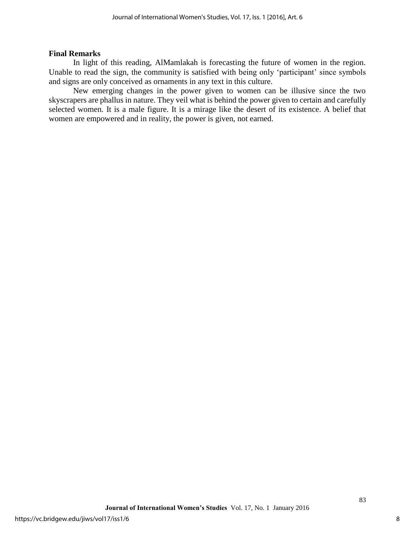## **Final Remarks**

 In light of this reading, AlMamlakah is forecasting the future of women in the region. Unable to read the sign, the community is satisfied with being only 'participant' since symbols and signs are only conceived as ornaments in any text in this culture.

 New emerging changes in the power given to women can be illusive since the two skyscrapers are phallus in nature. They veil what is behind the power given to certain and carefully selected women. It is a male figure. It is a mirage like the desert of its existence. A belief that women are empowered and in reality, the power is given, not earned.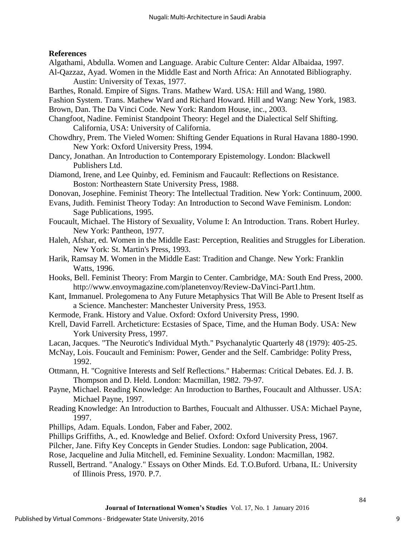# **References**

Algathami, Abdulla. Women and Language. Arabic Culture Center: Aldar Albaidaa, 1997.

- Al-Qazzaz, Ayad. Women in the Middle East and North Africa: An Annotated Bibliography. Austin: University of Texas, 1977.
- Barthes, Ronald. Empire of Signs. Trans. Mathew Ward. USA: Hill and Wang, 1980.
- Fashion System. Trans. Mathew Ward and Richard Howard. Hill and Wang: New York, 1983.

Brown, Dan. The Da Vinci Code. New York: Random House, inc., 2003.

- Changfoot, Nadine. Feminist Standpoint Theory: Hegel and the Dialectical Self Shifting. California, USA: University of California.
- Chowdhry, Prem. The Vieled Women: Shifting Gender Equations in Rural Havana 1880-1990. New York: Oxford University Press, 1994.
- Dancy, Jonathan. An Introduction to Contemporary Epistemology. London: Blackwell Publishers Ltd.
- Diamond, Irene, and Lee Quinby, ed. Feminism and Faucault: Reflections on Resistance. Boston: Northeastern State University Press, 1988.
- Donovan, Josephine. Feminist Theory: The Intellectual Tradition. New York: Continuum, 2000.
- Evans, Judith. Feminist Theory Today: An Introduction to Second Wave Feminism. London: Sage Publications, 1995.
- Foucault, Michael. The History of Sexuality, Volume I: An Introduction. Trans. Robert Hurley. New York: Pantheon, 1977.
- Haleh, Afshar, ed. Women in the Middle East: Perception, Realities and Struggles for Liberation. New York: St. Martin's Press, 1993.
- Harik, Ramsay M. Women in the Middle East: Tradition and Change. New York: Franklin Watts, 1996.
- Hooks, Bell. Feminist Theory: From Margin to Center. Cambridge, MA: South End Press, 2000. http://www.envoymagazine.com/planetenvoy/Review-DaVinci-Part1.htm.
- Kant, Immanuel. Prolegomena to Any Future Metaphysics That Will Be Able to Present Itself as a Science. Manchester: Manchester University Press, 1953.
- Kermode, Frank. History and Value. Oxford: Oxford University Press, 1990.
- Krell, David Farrell. Archeticture: Ecstasies of Space, Time, and the Human Body. USA: New York University Press, 1997.
- Lacan, Jacques. "The Neurotic's Individual Myth." Psychanalytic Quarterly 48 (1979): 405-25.
- McNay, Lois. Foucault and Feminism: Power, Gender and the Self. Cambridge: Polity Press, 1992.
- Ottmann, H. "Cognitive Interests and Self Reflections." Habermas: Critical Debates. Ed. J. B. Thompson and D. Held. London: Macmillan, 1982. 79-97.
- Payne, Michael. Reading Knowledge: An Inroduction to Barthes, Foucault and Althusser. USA: Michael Payne, 1997.
- Reading Knowledge: An Introduction to Barthes, Foucualt and Althusser. USA: Michael Payne, 1997.
- Phillips, Adam. Equals. London, Faber and Faber, 2002.

Phillips Griffiths, A., ed. Knowledge and Belief. Oxford: Oxford University Press, 1967.

- Pilcher, Jane. Fifty Key Concepts in Gender Studies. London: sage Publication, 2004.
- Rose, Jacqueline and Julia Mitchell, ed. Feminine Sexuality. London: Macmillan, 1982.
- Russell, Bertrand. "Analogy." Essays on Other Minds. Ed. T.O.Buford. Urbana, IL: University of Illinois Press, 1970. P.7.

9